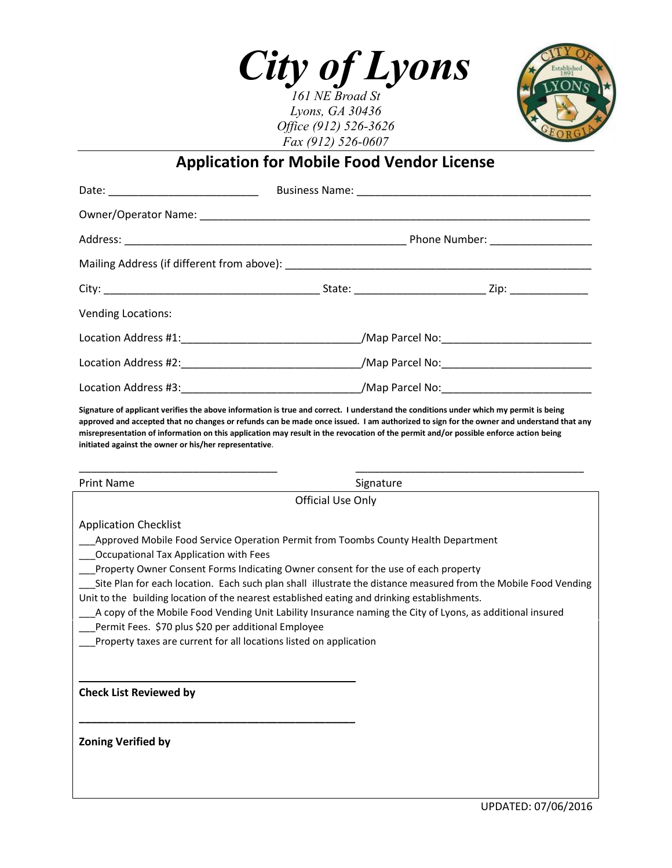

*161 NE Broad St Lyons, GA 30436 Office (912) 526-3626 Fax (912) 526-0607*



# **Application for Mobile Food Vendor License**

| <b>Vending Locations:</b> |                                                                                                     |  |  |  |
|---------------------------|-----------------------------------------------------------------------------------------------------|--|--|--|
|                           | Location Address #1:___________________________________/Map Parcel No:_____________________________ |  |  |  |
|                           | Location Address #2:__________________________________/Map Parcel No:______________________________ |  |  |  |
|                           |                                                                                                     |  |  |  |

**Signature of applicant verifies the above information is true and correct. I understand the conditions under which my permit is being approved and accepted that no changes or refunds can be made once issued. I am authorized to sign for the owner and understand that any misrepresentation of information on this application may result in the revocation of the permit and/or possible enforce action being initiated against the owner or his/her representative**.

| <b>Print Name</b>                                                                                                                                                | Signature |  |  |  |
|------------------------------------------------------------------------------------------------------------------------------------------------------------------|-----------|--|--|--|
| Official Use Only                                                                                                                                                |           |  |  |  |
| <b>Application Checklist</b>                                                                                                                                     |           |  |  |  |
| Approved Mobile Food Service Operation Permit from Toombs County Health Department                                                                               |           |  |  |  |
| Occupational Tax Application with Fees                                                                                                                           |           |  |  |  |
| Property Owner Consent Forms Indicating Owner consent for the use of each property                                                                               |           |  |  |  |
| Site Plan for each location. Each such plan shall illustrate the distance measured from the Mobile Food Vending                                                  |           |  |  |  |
| Unit to the building location of the nearest established eating and drinking establishments.                                                                     |           |  |  |  |
| A copy of the Mobile Food Vending Unit Lability Insurance naming the City of Lyons, as additional insured<br>Permit Fees. \$70 plus \$20 per additional Employee |           |  |  |  |
| Property taxes are current for all locations listed on application                                                                                               |           |  |  |  |
|                                                                                                                                                                  |           |  |  |  |
|                                                                                                                                                                  |           |  |  |  |
| <b>Check List Reviewed by</b>                                                                                                                                    |           |  |  |  |
|                                                                                                                                                                  |           |  |  |  |
|                                                                                                                                                                  |           |  |  |  |
| <b>Zoning Verified by</b>                                                                                                                                        |           |  |  |  |
|                                                                                                                                                                  |           |  |  |  |
|                                                                                                                                                                  |           |  |  |  |
|                                                                                                                                                                  |           |  |  |  |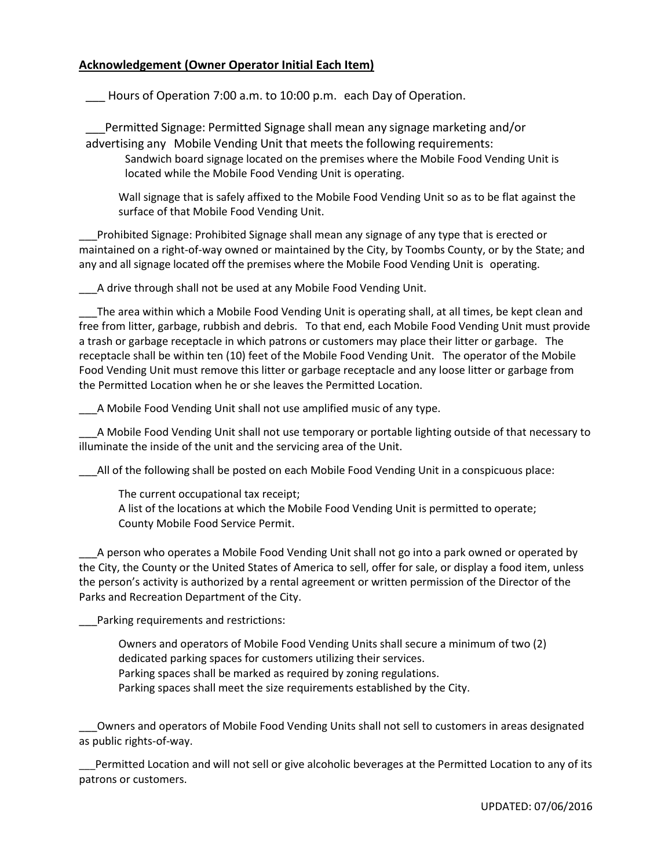#### **Acknowledgement (Owner Operator Initial Each Item)**

Hours of Operation 7:00 a.m. to 10:00 p.m. each Day of Operation.

\_\_\_Permitted Signage: Permitted Signage shall mean any signage marketing and/or advertising any Mobile Vending Unit that meets the following requirements:

Sandwich board signage located on the premises where the Mobile Food Vending Unit is located while the Mobile Food Vending Unit is operating.

Wall signage that is safely affixed to the Mobile Food Vending Unit so as to be flat against the surface of that Mobile Food Vending Unit.

\_\_\_Prohibited Signage: Prohibited Signage shall mean any signage of any type that is erected or maintained on a right-of-way owned or maintained by the City, by Toombs County, or by the State; and any and all signage located off the premises where the Mobile Food Vending Unit is operating.

A drive through shall not be used at any Mobile Food Vending Unit.

\_\_\_The area within which a Mobile Food Vending Unit is operating shall, at all times, be kept clean and free from litter, garbage, rubbish and debris. To that end, each Mobile Food Vending Unit must provide a trash or garbage receptacle in which patrons or customers may place their litter or garbage. The receptacle shall be within ten (10) feet of the Mobile Food Vending Unit. The operator of the Mobile Food Vending Unit must remove this litter or garbage receptacle and any loose litter or garbage from the Permitted Location when he or she leaves the Permitted Location.

\_\_\_A Mobile Food Vending Unit shall not use amplified music of any type.

\_\_\_A Mobile Food Vending Unit shall not use temporary or portable lighting outside of that necessary to illuminate the inside of the unit and the servicing area of the Unit.

\_\_\_All of the following shall be posted on each Mobile Food Vending Unit in a conspicuous place:

The current occupational tax receipt; A list of the locations at which the Mobile Food Vending Unit is permitted to operate; County Mobile Food Service Permit.

\_\_\_A person who operates a Mobile Food Vending Unit shall not go into a park owned or operated by the City, the County or the United States of America to sell, offer for sale, or display a food item, unless the person's activity is authorized by a rental agreement or written permission of the Director of the Parks and Recreation Department of the City.

Parking requirements and restrictions:

Owners and operators of Mobile Food Vending Units shall secure a minimum of two (2) dedicated parking spaces for customers utilizing their services. Parking spaces shall be marked as required by zoning regulations. Parking spaces shall meet the size requirements established by the City.

\_\_\_Owners and operators of Mobile Food Vending Units shall not sell to customers in areas designated as public rights-of-way.

\_\_\_Permitted Location and will not sell or give alcoholic beverages at the Permitted Location to any of its patrons or customers.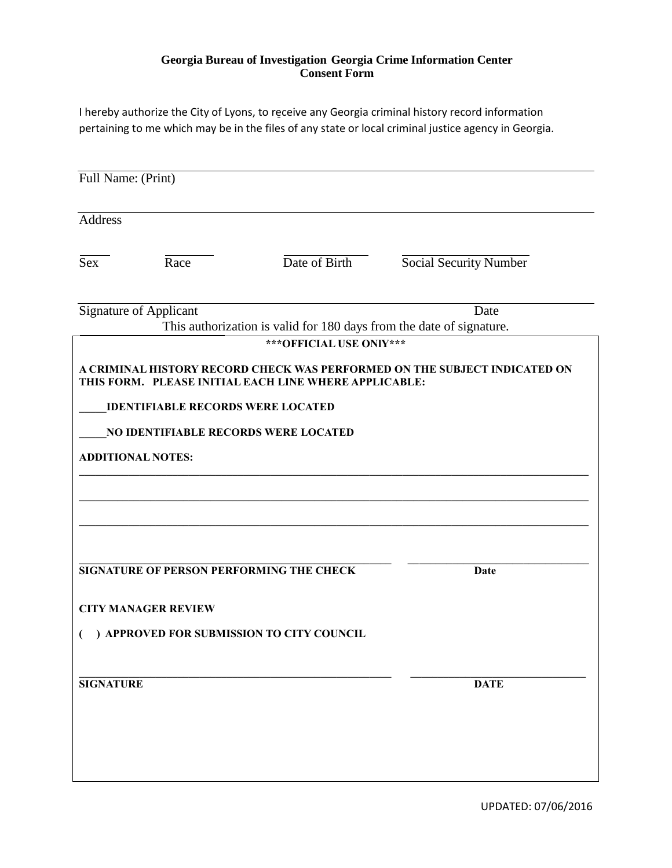#### **Georgia Bureau of Investigation Georgia Crime Information Center Consent Form**

I hereby authorize the City of Lyons, to receive any Georgia criminal history record information pertaining to me which may be in the files of any state or local criminal justice agency in Georgia.

| Full Name: (Print) |                                          |                                                                                                  |                                                                           |
|--------------------|------------------------------------------|--------------------------------------------------------------------------------------------------|---------------------------------------------------------------------------|
| Address            |                                          |                                                                                                  |                                                                           |
| Sex                | Race                                     | Date of Birth                                                                                    | <b>Social Security Number</b>                                             |
|                    | <b>Signature of Applicant</b>            |                                                                                                  | Date                                                                      |
|                    |                                          | This authorization is valid for 180 days from the date of signature.<br>*** OFFICIAL USE ONlY*** |                                                                           |
|                    | <b>IDENTIFIABLE RECORDS WERE LOCATED</b> | THIS FORM. PLEASE INITIAL EACH LINE WHERE APPLICABLE:                                            | A CRIMINAL HISTORY RECORD CHECK WAS PERFORMED ON THE SUBJECT INDICATED ON |
|                    |                                          | NO IDENTIFIABLE RECORDS WERE LOCATED                                                             |                                                                           |
|                    | <b>ADDITIONAL NOTES:</b>                 |                                                                                                  |                                                                           |
|                    |                                          |                                                                                                  |                                                                           |
|                    |                                          | SIGNATURE OF PERSON PERFORMING THE CHECK                                                         | Date                                                                      |
|                    | <b>CITY MANAGER REVIEW</b>               |                                                                                                  |                                                                           |
|                    |                                          | ) APPROVED FOR SUBMISSION TO CITY COUNCIL                                                        |                                                                           |
| <b>SIGNATURE</b>   |                                          |                                                                                                  | <b>DATE</b>                                                               |
|                    |                                          |                                                                                                  |                                                                           |
|                    |                                          |                                                                                                  |                                                                           |
|                    |                                          |                                                                                                  |                                                                           |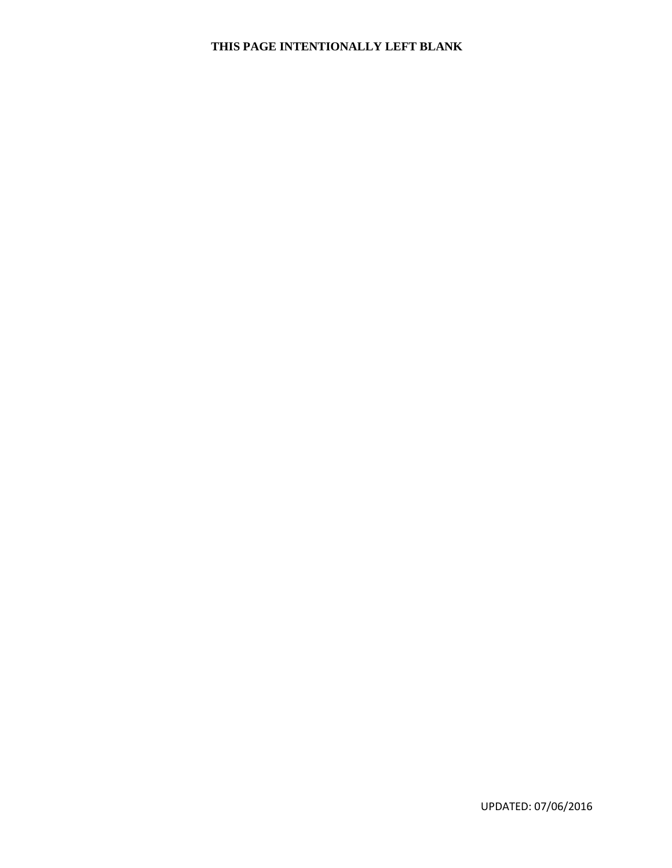### **THIS PAGE INTENTIONALLY LEFT BLANK**